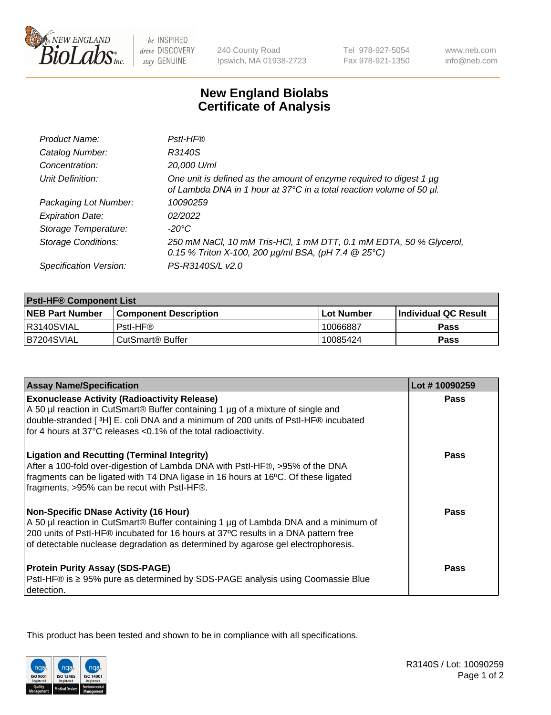

 $be$  INSPIRED drive DISCOVERY stay GENUINE

240 County Road Ipswich, MA 01938-2723 Tel 978-927-5054 Fax 978-921-1350

www.neb.com info@neb.com

## **New England Biolabs Certificate of Analysis**

| Product Name:              | Pstl-HF®                                                                                                                                    |
|----------------------------|---------------------------------------------------------------------------------------------------------------------------------------------|
| Catalog Number:            | R3140S                                                                                                                                      |
| Concentration:             | 20,000 U/ml                                                                                                                                 |
| Unit Definition:           | One unit is defined as the amount of enzyme required to digest 1 µg<br>of Lambda DNA in 1 hour at 37°C in a total reaction volume of 50 µl. |
| Packaging Lot Number:      | 10090259                                                                                                                                    |
| <b>Expiration Date:</b>    | 02/2022                                                                                                                                     |
| Storage Temperature:       | $-20^{\circ}$ C                                                                                                                             |
| <b>Storage Conditions:</b> | 250 mM NaCl, 10 mM Tris-HCl, 1 mM DTT, 0.1 mM EDTA, 50 % Glycerol,<br>0.15 % Triton X-100, 200 $\mu$ g/ml BSA, (pH 7.4 $@$ 25°C)            |
| Specification Version:     | PS-R3140S/L v2.0                                                                                                                            |

| <b>PstI-HF® Component List</b> |                              |                   |                       |  |
|--------------------------------|------------------------------|-------------------|-----------------------|--|
| <b>NEB Part Number</b>         | <b>Component Description</b> | <b>Lot Number</b> | ∣Individual QC Result |  |
| IR3140SVIAL                    | Pstl-HF®                     | 10066887          | <b>Pass</b>           |  |
| B7204SVIAL                     | CutSmart <sup>®</sup> Buffer | 10085424          | Pass                  |  |

| <b>Assay Name/Specification</b>                                                                                                                                                                                                                                                                               | Lot #10090259 |
|---------------------------------------------------------------------------------------------------------------------------------------------------------------------------------------------------------------------------------------------------------------------------------------------------------------|---------------|
| <b>Exonuclease Activity (Radioactivity Release)</b>                                                                                                                                                                                                                                                           | Pass          |
| A 50 µl reaction in CutSmart® Buffer containing 1 µg of a mixture of single and<br>double-stranded [3H] E. coli DNA and a minimum of 200 units of Pstl-HF® incubated                                                                                                                                          |               |
| for 4 hours at 37°C releases <0.1% of the total radioactivity.                                                                                                                                                                                                                                                |               |
| <b>Ligation and Recutting (Terminal Integrity)</b><br>After a 100-fold over-digestion of Lambda DNA with Pstl-HF®, >95% of the DNA<br>fragments can be ligated with T4 DNA ligase in 16 hours at 16°C. Of these ligated<br>fragments, >95% can be recut with Pstl-HF®.                                        | Pass          |
| <b>Non-Specific DNase Activity (16 Hour)</b><br>A 50 µl reaction in CutSmart® Buffer containing 1 µg of Lambda DNA and a minimum of<br>200 units of Pstl-HF® incubated for 16 hours at 37°C results in a DNA pattern free<br>of detectable nuclease degradation as determined by agarose gel electrophoresis. | <b>Pass</b>   |
| <b>Protein Purity Assay (SDS-PAGE)</b><br>PstI-HF® is ≥ 95% pure as determined by SDS-PAGE analysis using Coomassie Blue<br>detection.                                                                                                                                                                        | Pass          |

This product has been tested and shown to be in compliance with all specifications.